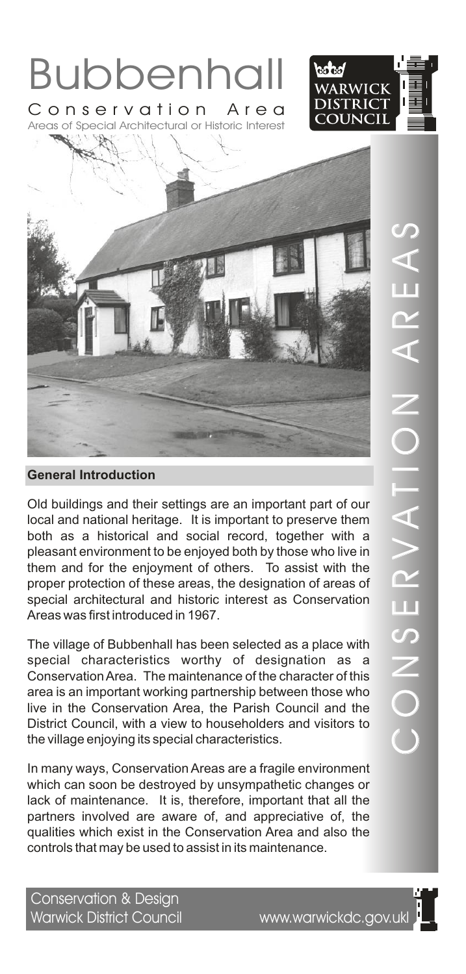

Areas of Special Architectural or Historic Interest





Old buildings and their settings are an important part of our local and national heritage. It is important to preserve them both as a historical and social record, together with a pleasant environment to be enjoyed both by those who live in them and for the enjoyment of others. To assist with the proper protection of these areas, the designation of areas of special architectural and historic interest as Conservation Areas was first introduced in 1967.

The village of Bubbenhall has been selected as a place with special characteristics worthy of designation as a Conservation Area. The maintenance of the character of this area is an important working partnership between those who live in the Conservation Area, the Parish Council and the District Council, with a view to householders and visitors to the village enjoying its special characteristics.

In many ways, Conservation Areas are a fragile environment which can soon be destroyed by unsympathetic changes or lack of maintenance. It is, therefore, important that all the partners involved are aware of, and appreciative of, the qualities which exist in the Conservation Area and also the controls that may be used to assist in its maintenance.

Conservation & Design Warwick District Council www.warwickdc.gov.ukl

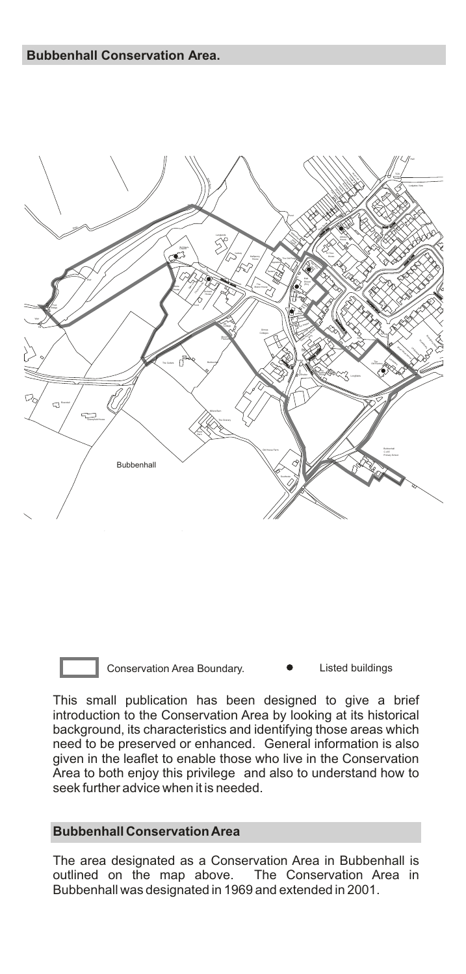

Conservation Area Boundary. <br> **•** Listed buildings

This small publication has been designed to give a brief introduction to the Conservation Area by looking at its historical background, its characteristics and identifying those areas which need to be preserved or enhanced. General information is also given in the leaflet to enable those who live in the Conservation Area to both enjoy this privilege and also to understand how to seek further advice when it is needed.

#### **Bubbenhall Conservation Area**

The area designated as a Conservation Area in Bubbenhall is outlined on the map above. The Conservation Area in outlined on the map above. Bubbenhall was designated in 1969 and extended in 2001.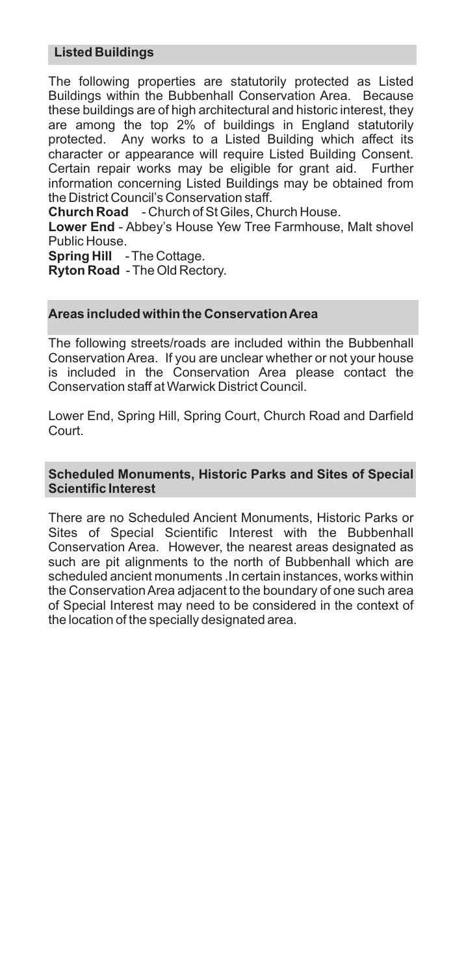## **Listed Buildings**

The following properties are statutorily protected as Listed Buildings within the Bubbenhall Conservation Area. Because these buildings are of high architectural and historic interest, they are among the top 2% of buildings in England statutorily protected. Any works to a Listed Building which affect its character or appearance will require Listed Building Consent. Certain repair works may be eligible for grant aid. Further information concerning Listed Buildings may be obtained from the District Council's Conservation staff.

**Church Road** - Church of St Giles, Church House.

**Lower End** - Abbey's House Yew Tree Farmhouse, Malt shovel Public House.

**Spring Hill** - The Cottage.

**Ryton Road** - The Old Rectory.

# **Areas included within the Conservation Area**

The following streets/roads are included within the Bubbenhall Conservation Area. If you are unclear whether or not your house is included in the Conservation Area please contact the Conservation staff at Warwick District Council.

Lower End, Spring Hill, Spring Court, Church Road and Darfield Court.

#### **Scheduled Monuments, Historic Parks and Sites of Special Scientific Interest**

There are no Scheduled Ancient Monuments, Historic Parks or Sites of Special Scientific Interest with the Bubbenhall Conservation Area. However, the nearest areas designated as such are pit alignments to the north of Bubbenhall which are scheduled ancient monuments .In certain instances, works within the Conservation Area adjacent to the boundary of one such area of Special Interest may need to be considered in the context of the location of the specially designated area.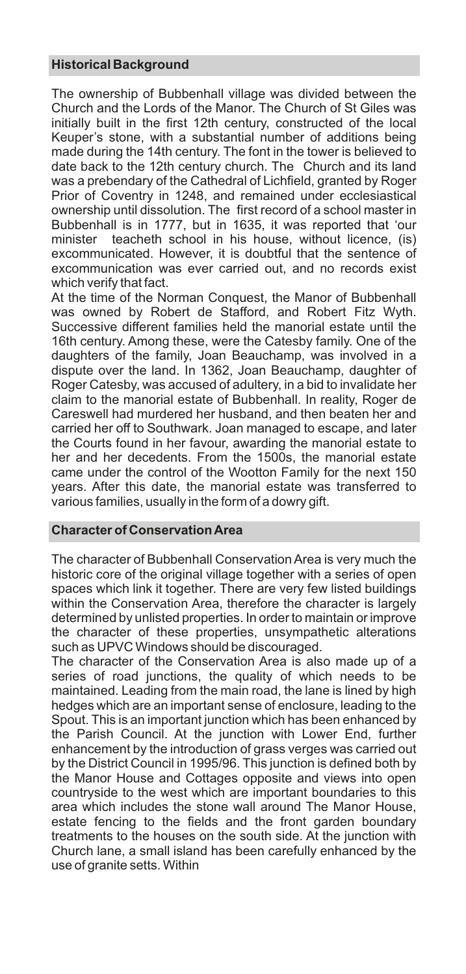## **Historical Background**

The ownership of Bubbenhall village was divided between the Church and the Lords of the Manor. The Church of St Giles was initially built in the first 12th century, constructed of the local Keuper's stone, with a substantial number of additions being made during the 14th century. The font in the tower is believed to date back to the 12th century church. The Church and its land was a prebendary of the Cathedral of Lichfield, granted by Roger Prior of Coventry in 1248, and remained under ecclesiastical ownership until dissolution. The first record of a school master in Bubbenhall is in 1777, but in 1635, it was reported that 'our minister teacheth school in his house, without licence, (is) excommunicated. However, it is doubtful that the sentence of excommunication was ever carried out, and no records exist which verify that fact.

At the time of the Norman Conquest, the Manor of Bubbenhall was owned by Robert de Stafford, and Robert Fitz Wyth. Successive different families held the manorial estate until the 16th century. Among these, were the Catesby family. One of the daughters of the family, Joan Beauchamp, was involved in a dispute over the land. In 1362, Joan Beauchamp, daughter of Roger Catesby, was accused of adultery, in a bid to invalidate her claim to the manorial estate of Bubbenhall. In reality, Roger de Careswell had murdered her husband, and then beaten her and carried her off to Southwark. Joan managed to escape, and later the Courts found in her favour, awarding the manorial estate to her and her decedents. From the 1500s, the manorial estate came under the control of the Wootton Family for the next 150 years. After this date, the manorial estate was transferred to various families, usually in the form of a dowry gift.

## **Character of Conservation Area**

The character of Bubbenhall Conservation Area is very much the historic core of the original village together with a series of open spaces which link it together. There are very few listed buildings within the Conservation Area, therefore the character is largely determined by unlisted properties. In order to maintain or improve the character of these properties, unsympathetic alterations such as UPVC Windows should be discouraged.

The character of the Conservation Area is also made up of a series of road junctions, the quality of which needs to be maintained. Leading from the main road, the lane is lined by high hedges which are an important sense of enclosure, leading to the Spout. This is an important junction which has been enhanced by the Parish Council. At the junction with Lower End, further enhancement by the introduction of grass verges was carried out by the District Council in 1995/96. This junction is defined both by the Manor House and Cottages opposite and views into open countryside to the west which are important boundaries to this area which includes the stone wall around The Manor House, estate fencing to the fields and the front garden boundary treatments to the houses on the south side. At the junction with Church lane, a small island has been carefully enhanced by the use of granite setts. Within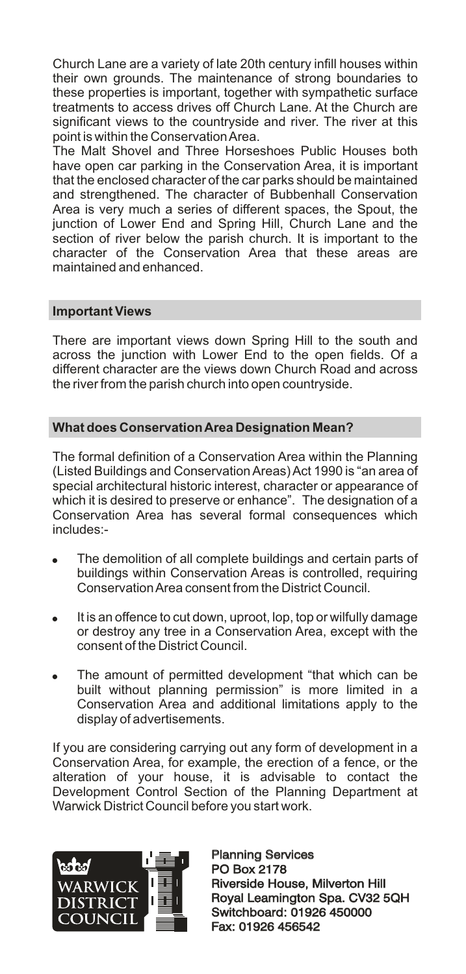Church Lane are a variety of late 20th century infill houses within their own grounds. The maintenance of strong boundaries to these properties is important, together with sympathetic surface treatments to access drives off Church Lane. At the Church are significant views to the countryside and river. The river at this point is within the Conservation Area.

.<br>The Malt Shovel and Three Horseshoes Public Houses both have open car parking in the Conservation Area, it is important that the enclosed character of the car parks should be maintained and strengthened. The character of Bubbenhall Conservation Area is very much a series of different spaces, the Spout, the junction of Lower End and Spring Hill, Church Lane and the section of river below the parish church. It is important to the character of the Conservation Area that these areas are maintained and enhanced.

## **Important Views**

There are important views down Spring Hill to the south and across the junction with Lower End to the open fields. Of a different character are the views down Church Road and across the river from the parish church into open countryside.

## **What does Conservation Area Designation Mean?**

The formal definition of a Conservation Area within the Planning (Listed Buildings and Conservation Areas) Act 1990 is "an area of special architectural historic interest, character or appearance of which it is desired to preserve or enhance". The designation of a Conservation Area has several formal consequences which includes:-

- The demolition of all complete buildings and certain parts of buildings within Conservation Areas is controlled, requiring Conservation Area consent from the District Council.
- . It is an offence to cut down, uproot, lop, top or wilfully damage or destroy any tree in a Conservation Area, except with the consent of the District Council.
- . The amount of permitted development "that which can be built without planning permission" is more limited in a Conservation Area and additional limitations apply to the display of advertisements.

If you are considering carrying out any form of development in a Conservation Area, for example, the erection of a fence, or the alteration of your house, it is advisable to contact the Development Control Section of the Planning Department at Warwick District Council before you start work.



Planning Services PO Box 2178 Planning Services<br>PO Box 2178<br>Riverside House, Milverton Hill Royal Leamington Spa. CV32 5QH Switchboard: 01926 450000 Fax: 01926 456542 Royal Leamington Spa. CV32<br>Switchboard: 01926 450000<br>Fax: 01926 456542